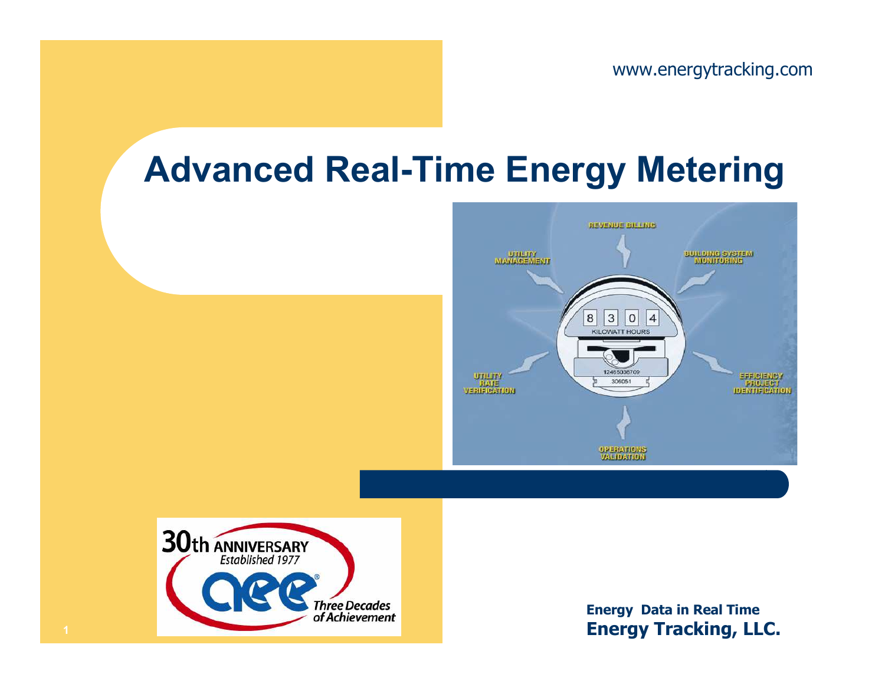## Advanced Real-Time Energy Metering





Energy Data in Real Time Energy Tracking, LLC.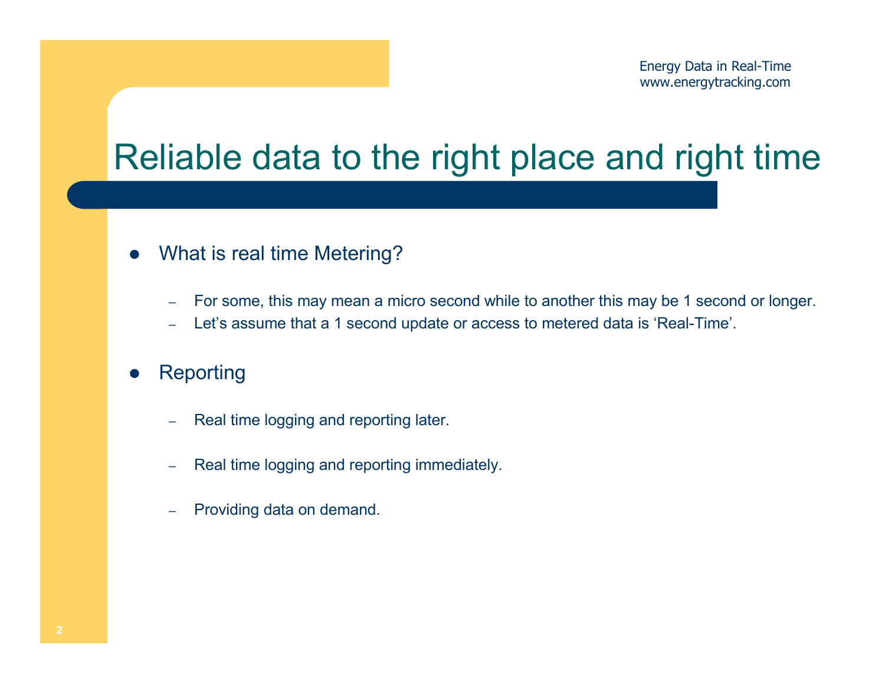# Reliable data to the right place and right time

- $\bullet$  What is real time Metering?
	- –For some, this may mean a micro second while to another this may be 1 second or longer.
	- –Let's assume that a 1 second update or access to metered data is 'Real-Time'.
- $\bullet$ **Reporting** 
	- Real time logging and reporting later.
	- –Real time logging and reporting immediately.
	- –Providing data on demand.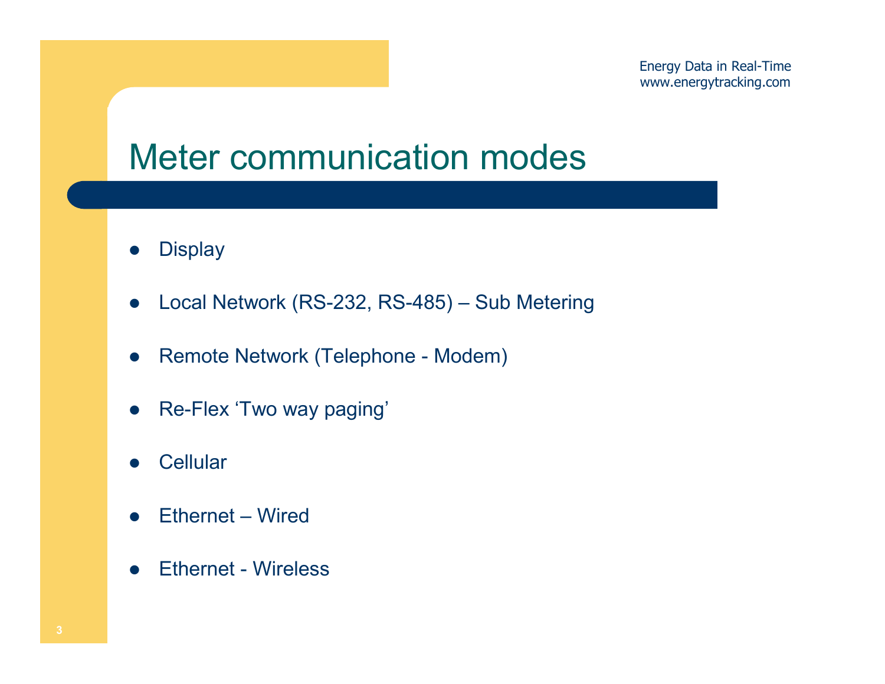#### Meter communication modes

- $\bullet$ **Display**
- $\bullet$ Local Network (RS-232, RS-485) – Sub Metering
- $\bullet$ Remote Network (Telephone - Modem)
- $\bullet$ Re-Flex 'Two way paging'
- $\bullet$ **Cellular**
- $\bullet$ Ethernet – Wired
- $\bullet$ Ethernet - Wireless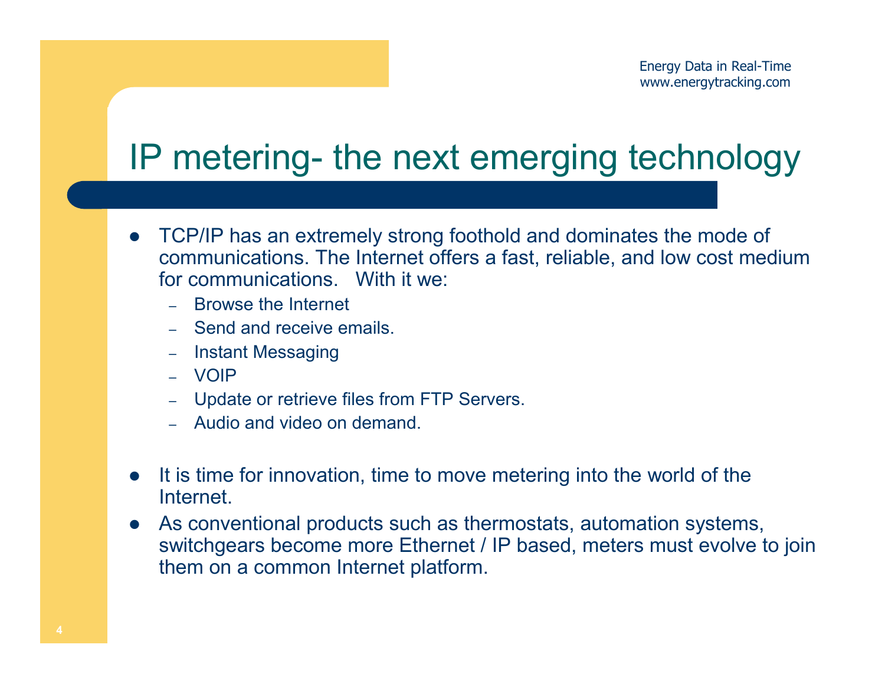# IP metering- the next emerging technology

- $\bullet$  TCP/IP has an extremely strong foothold and dominates the mode of communications. The Internet offers a fast, reliable, and low cost medium for communications. With it we:
	- Browse the Internet
	- Send and receive emails.
	- –Instant Messaging
	- VOIP
	- Update or retrieve files from FTP Servers.
	- Audio and video on demand.
- It is time for innovation, time to move metering into the world of the **Internet**
- $\bullet$  As conventional products such as thermostats, automation systems, switchgears become more Ethernet / IP based, meters must evolve to join them on a common Internet platform.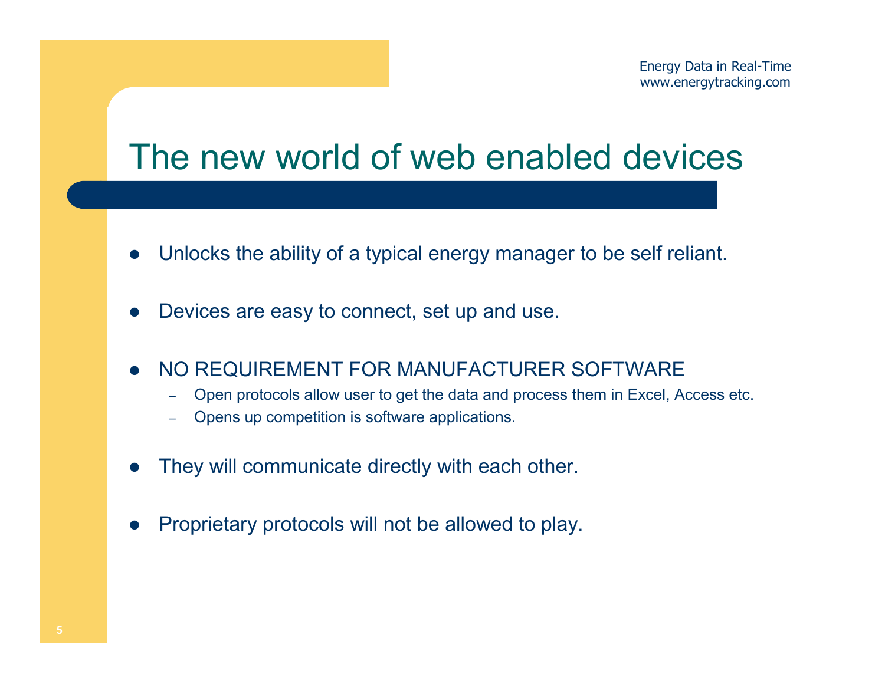#### The new world of web enabled devices

- $\bullet$ Unlocks the ability of a typical energy manager to be self reliant.
- $\bullet$ Devices are easy to connect, set up and use.
- $\bullet$  NO REQUIREMENT FOR MANUFACTURER SOFTWARE
	- Open protocols allow user to get the data and process them in Excel, Access etc. –
	- –Opens up competition is software applications.
- $\bullet$ They will communicate directly with each other.
- $\bullet$ Proprietary protocols will not be allowed to play.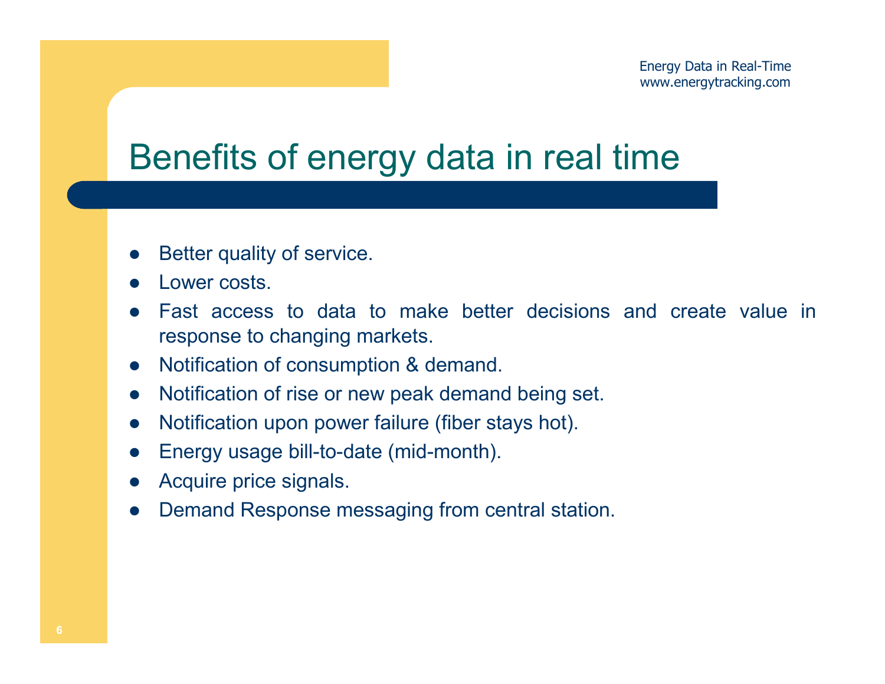## Benefits of energy data in real time

- $\bullet$ Better quality of service.
- $\bullet$ Lower costs.
- $\bullet$  Fast access to data to make better decisions and create value in response to changing markets.
- $\bullet$ Notification of consumption & demand.
- $\bullet$ Notification of rise or new peak demand being set.
- $\bullet$ Notification upon power failure (fiber stays hot).
- $\bullet$ Energy usage bill-to-date (mid-month).
- $\bullet$ Acquire price signals.
- $\bullet$ Demand Response messaging from central station.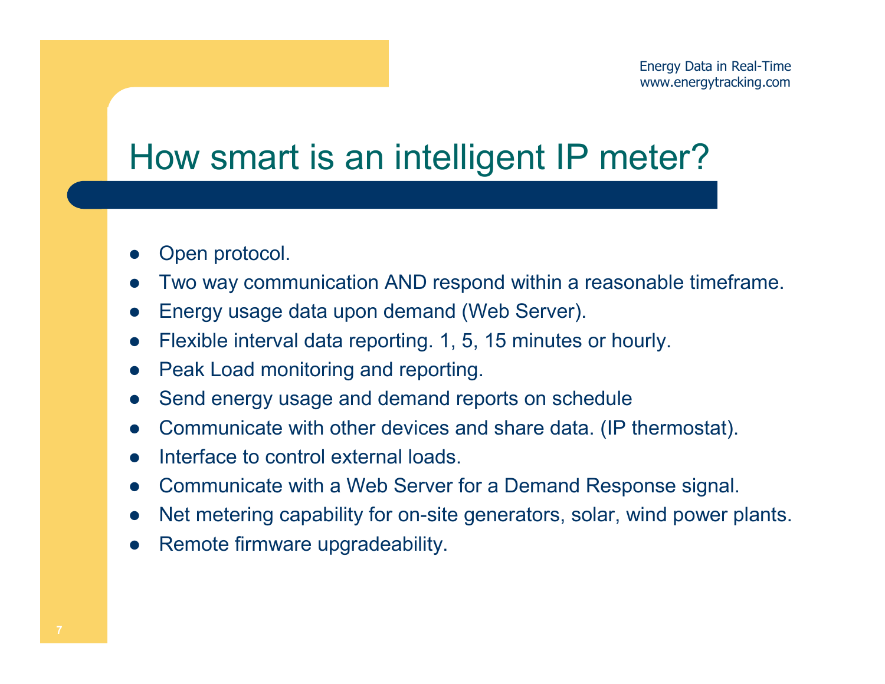## How smart is an intelligent IP meter?

- $\bullet$ Open protocol.
- $\bullet$ Two way communication AND respond within a reasonable timeframe.
- $\bullet$ Energy usage data upon demand (Web Server).
- $\bullet$ Flexible interval data reporting. 1, 5, 15 minutes or hourly.
- $\bullet$ Peak Load monitoring and reporting.
- $\bullet$ Send energy usage and demand reports on schedule
- $\bullet$ Communicate with other devices and share data. (IP thermostat).
- $\bullet$ Interface to control external loads.
- $\bullet$ Communicate with a Web Server for a Demand Response signal.
- $\bullet$ Net metering capability for on-site generators, solar, wind power plants.
- $\bullet$ Remote firmware upgradeability.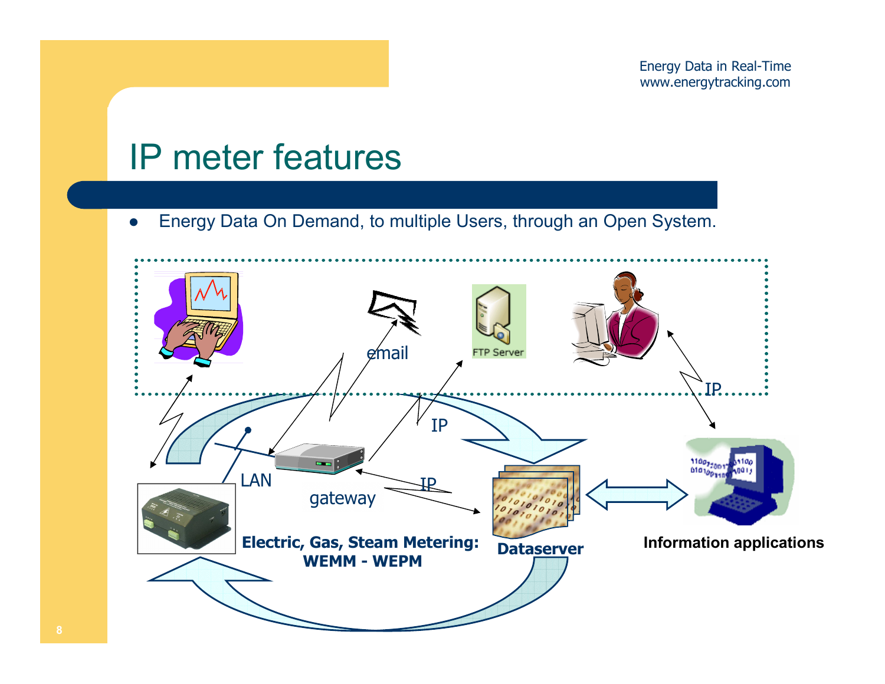#### IP meter features

 $\bullet$ Energy Data On Demand, to multiple Users, through an Open System.

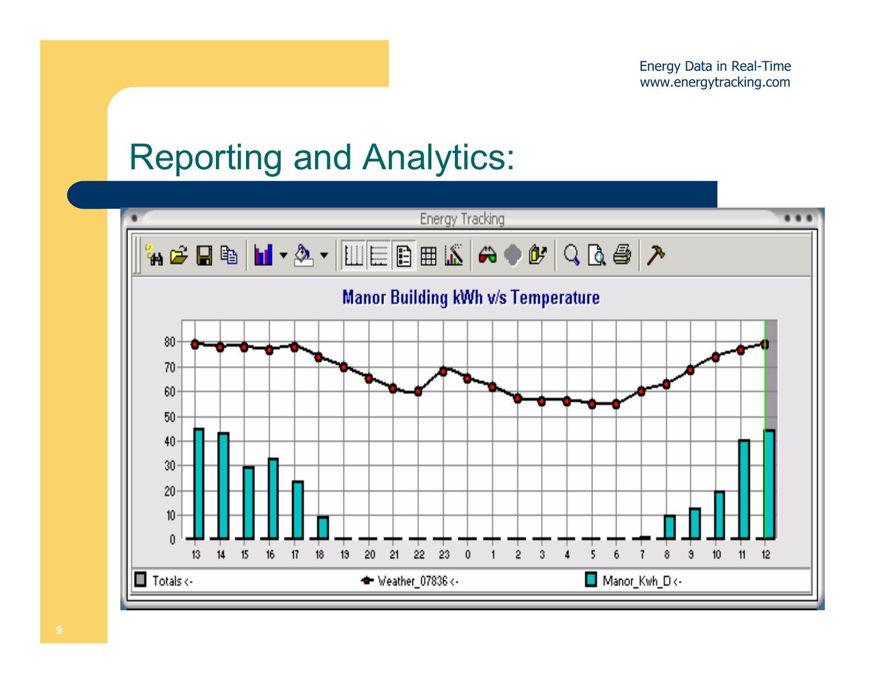# Reporting and Analytics:

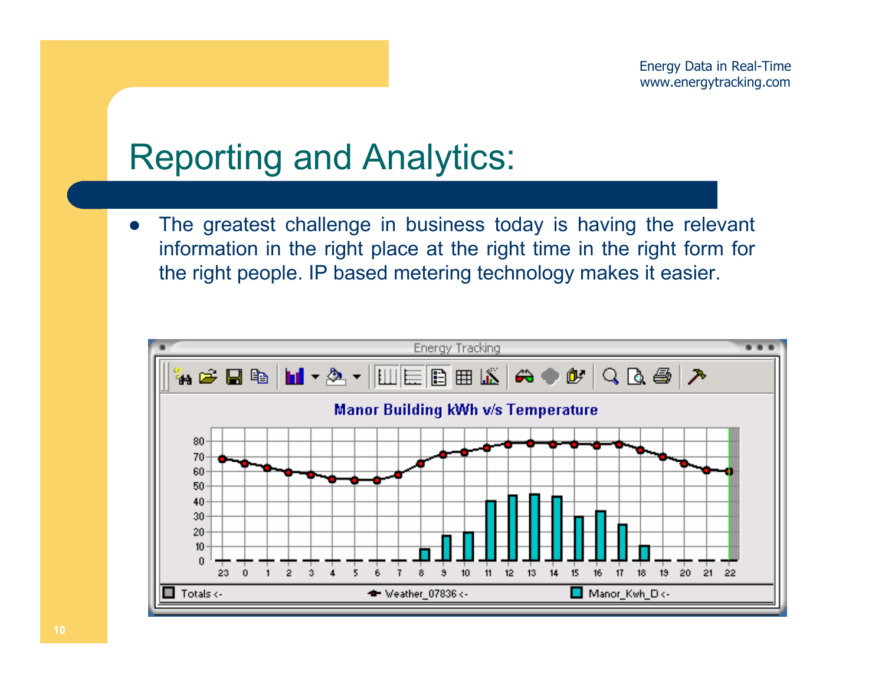#### Reporting and Analytics:

 $\bullet$  The greatest challenge in business today is having the relevant information in the right place at the right time in the right form for the right people. IP based metering technology makes it easier.

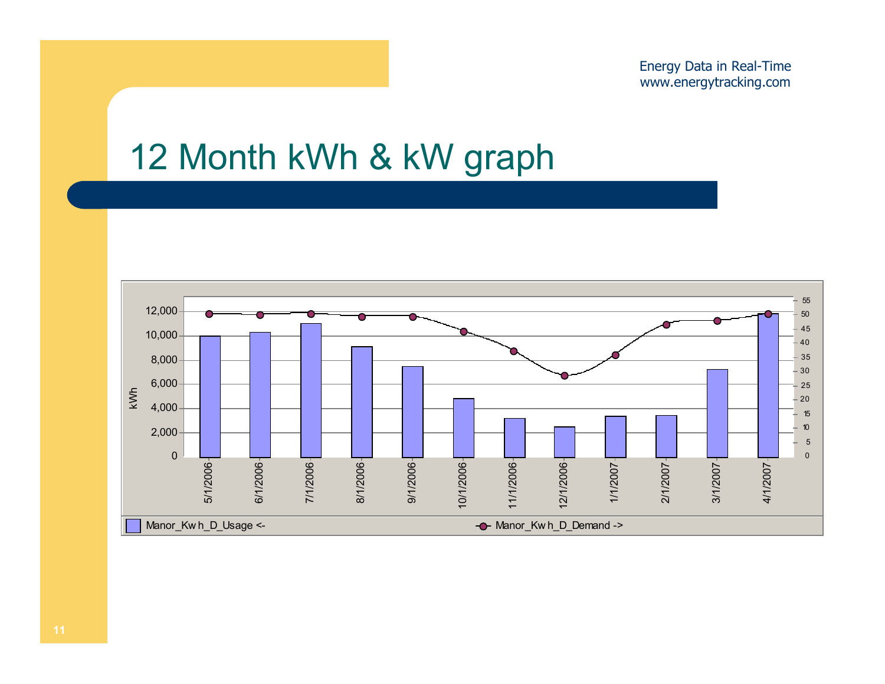## 12 Month kWh & kW graph

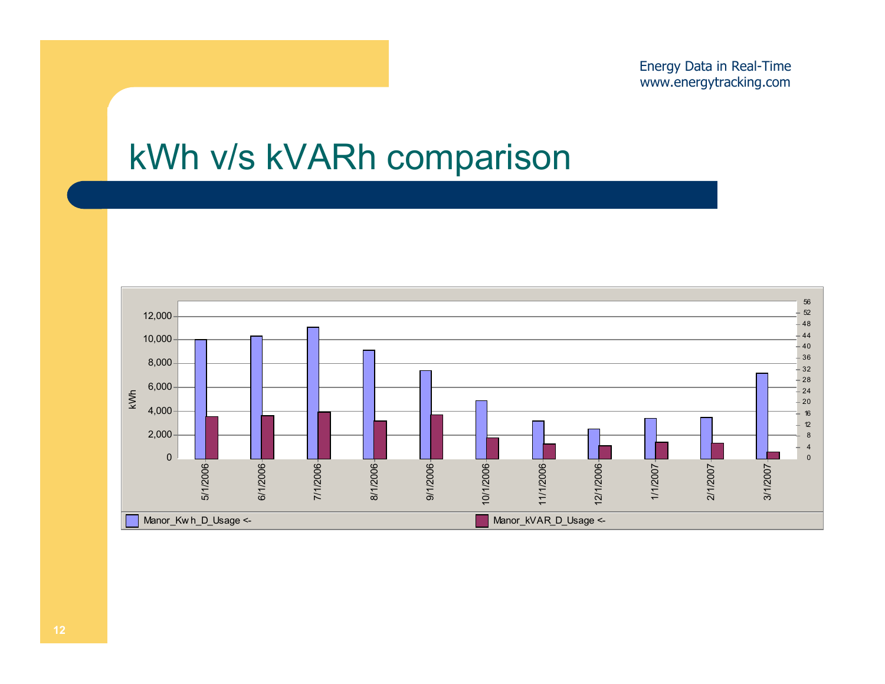#### kWh v/s kVARh comparison

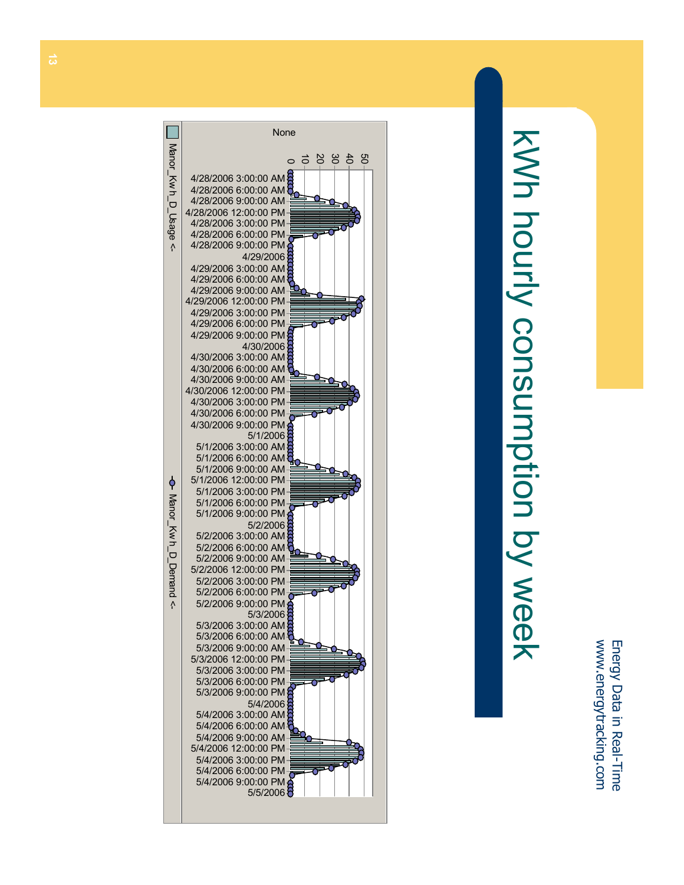# kWh hourly consumption by week kWh hourly consumption by week

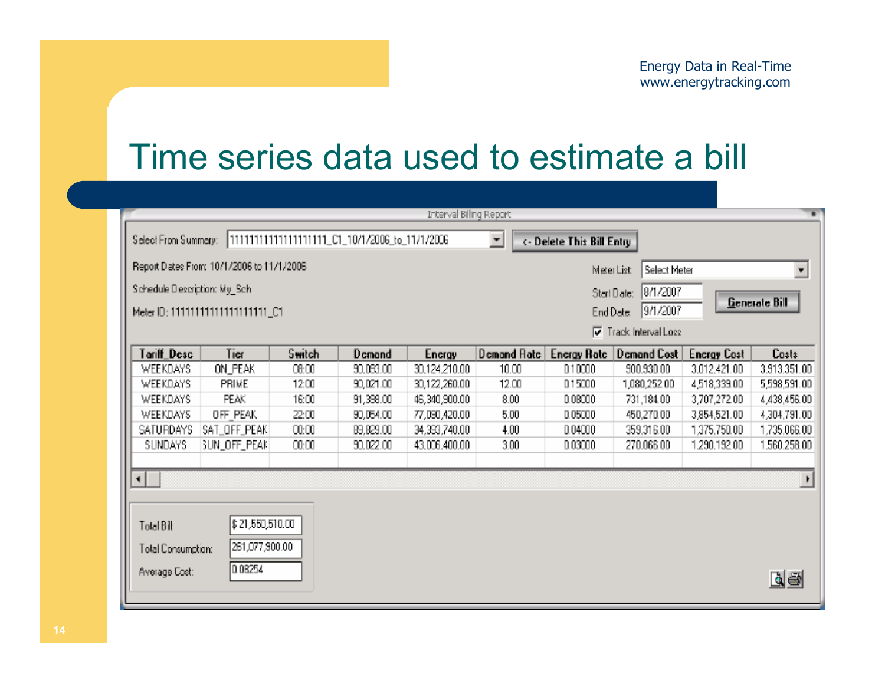#### Time series data used to estimate a bill

|                                                                                                     |                                                                       |        |           | Interval Biling Report |                |                           |                    |                    | w            |
|-----------------------------------------------------------------------------------------------------|-----------------------------------------------------------------------|--------|-----------|------------------------|----------------|---------------------------|--------------------|--------------------|--------------|
|                                                                                                     | Select From Summary:  111111111111111111111_C1_10/1/2006_to_11/1/2006 |        |           |                        | $\overline{ }$ | <- Delete This Bill Entry |                    |                    |              |
| Report Dates From: 10/1/2006 to 11/1/2006<br>Select Meter<br>$\overline{\mathbf{v}}$<br>Meter List: |                                                                       |        |           |                        |                |                           |                    |                    |              |
| Schedule Description: My_Sch-<br>8/1/2007<br>Start Diate:                                           |                                                                       |        |           |                        |                |                           |                    |                    |              |
| Generate Bill<br>9/1/2007<br>Meter ID: 11111111111111111111_C1<br>End Date:                         |                                                                       |        |           |                        |                |                           |                    |                    |              |
| Track Interval Loss                                                                                 |                                                                       |        |           |                        |                |                           |                    |                    |              |
| Tariff_Desc                                                                                         | Tier                                                                  | Switch | Demand    | Encrgy                 | Demand Rate    | <b>Energy Rate</b>        | <b>Demand Cost</b> | <b>Energy Cost</b> | <b>Costs</b> |
| WEEKDAYS                                                                                            | ON_PEAK                                                               | 08:00  | 90,093,00 | 30.124.210.00          | 10.00          | 0,10000                   | 900.930.00         | 3.012.421.00       | 3,913,351.00 |
| WEEKDAYS                                                                                            | <b>PRIME</b>                                                          | 12:00  | 90,021.00 | 30,122,260.00          | 12.00          | 015000                    | 1,080,252.00       | 4,518,339.00       | 5,598,591.00 |
| <b>WEEKDAYS</b>                                                                                     | <b>PEAK</b>                                                           | 16:00  | 91,398.00 | 46,340,900.00          | 8.00           | D.0B000                   | 731,184.0D         | 3,707,272.00       | 4,438,456.00 |
| <b>WEEKDAYS</b>                                                                                     | OFF PEAK                                                              | 22:00  | 90,054.00 | 77,090,420.00          | 5.00           | 0.05000                   | 450,270.0D         | 3,854,521.00       | 4,304,791.00 |
| SATURDAYS                                                                                           | SAT_OFF_PEAK                                                          | 00:00  | 89,829.00 | 34,393,740.00          | 4.00           | 0.04000                   | 359,316,00         | 1,375,750.00       | 1,735,066.00 |
| SUNDAYS.                                                                                            | SUN_OFF_PEAM                                                          | 00:00  | 90,022.00 | 43,006,400.00          | 3.00           | 0.03000                   | 270.066.00         | 1,290,192.00       | 1,560,258.00 |
| ⊣∣                                                                                                  |                                                                       |        |           |                        |                |                           |                    |                    | r            |
|                                                                                                     |                                                                       |        |           |                        |                |                           |                    |                    |              |
| Total Bilt                                                                                          | \$21,550,510.00                                                       |        |           |                        |                |                           |                    |                    |              |
| 261,077,900.00<br>Total Consumption:                                                                |                                                                       |        |           |                        |                |                           |                    |                    |              |
| Average Cost:                                                                                       | 0.0B254                                                               |        |           |                        |                |                           |                    |                    |              |
|                                                                                                     |                                                                       |        |           |                        |                |                           |                    |                    | r ek         |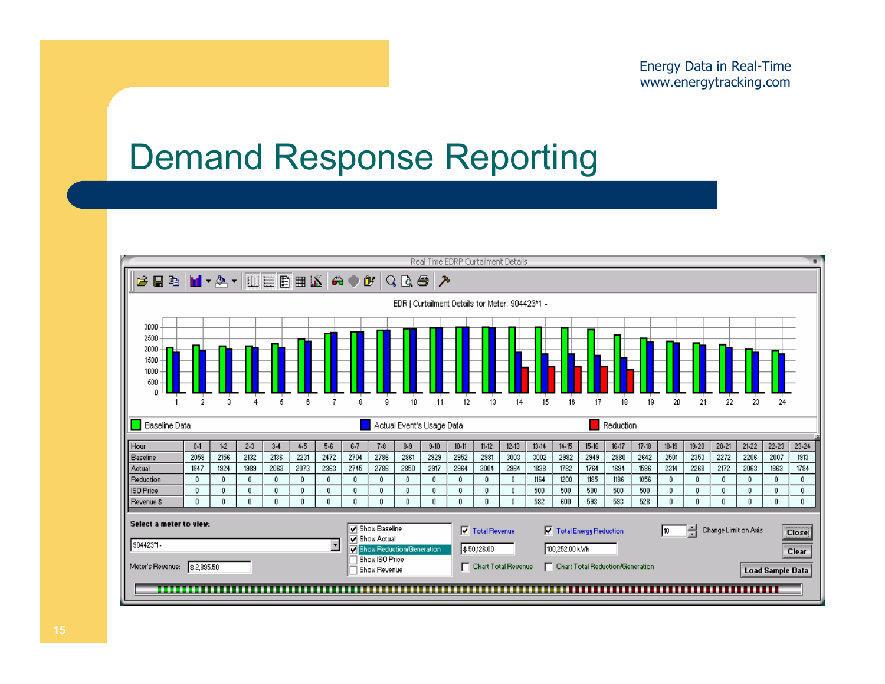#### Demand Response Reporting

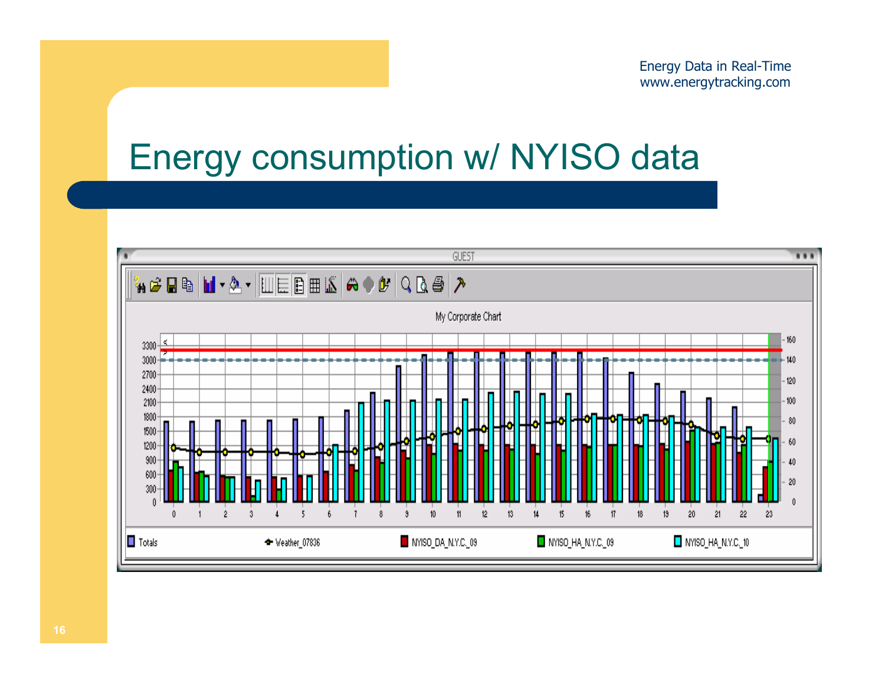## Energy consumption w/ NYISO data

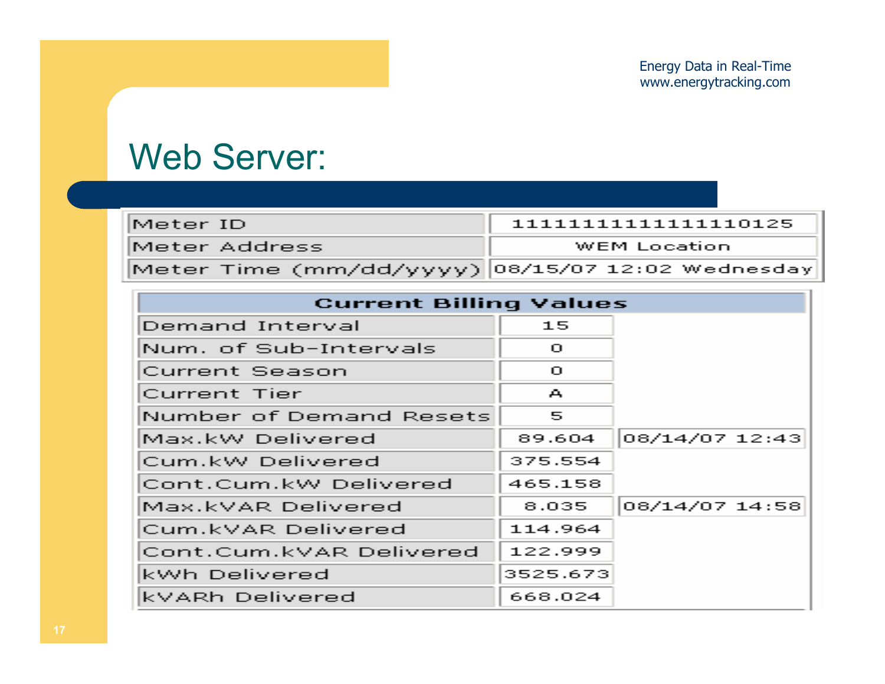#### Web Server:

| IMeter ID I                                       | 1111111111111111110125 |
|---------------------------------------------------|------------------------|
| Meter Address.                                    | WEM Location.          |
| Meter_Time (mm/dd/yyyy)  08/15/07 12:02 Wednesday |                        |

| <b>Current Billing Values</b> |          |                |  |  |  |  |  |
|-------------------------------|----------|----------------|--|--|--|--|--|
| Demand Interval               | 15       |                |  |  |  |  |  |
| Num. of Sub-Intervals         | $\Box$   |                |  |  |  |  |  |
| <b>Current Season</b>         | $\Gamma$ |                |  |  |  |  |  |
| Current Tier                  | А        |                |  |  |  |  |  |
| Number of Demand Resets       | 5        |                |  |  |  |  |  |
| Max.kW Delivered              | 89.604   | 08/14/07 12:43 |  |  |  |  |  |
| Cum.kW Delivered              | 375.554  |                |  |  |  |  |  |
| Cont.Cum.kW Delivered         | 465.158  |                |  |  |  |  |  |
| Max.kVAR Delivered            | 8,035    | 08/14/07 14:58 |  |  |  |  |  |
| Cum.kVAR Delivered            | 114.964  |                |  |  |  |  |  |
| Cont.Cum.kVAR Delivered       | 122.999  |                |  |  |  |  |  |
| kWh Delivered                 | 3525.673 |                |  |  |  |  |  |
| kVARh Delivered               | 668.024  |                |  |  |  |  |  |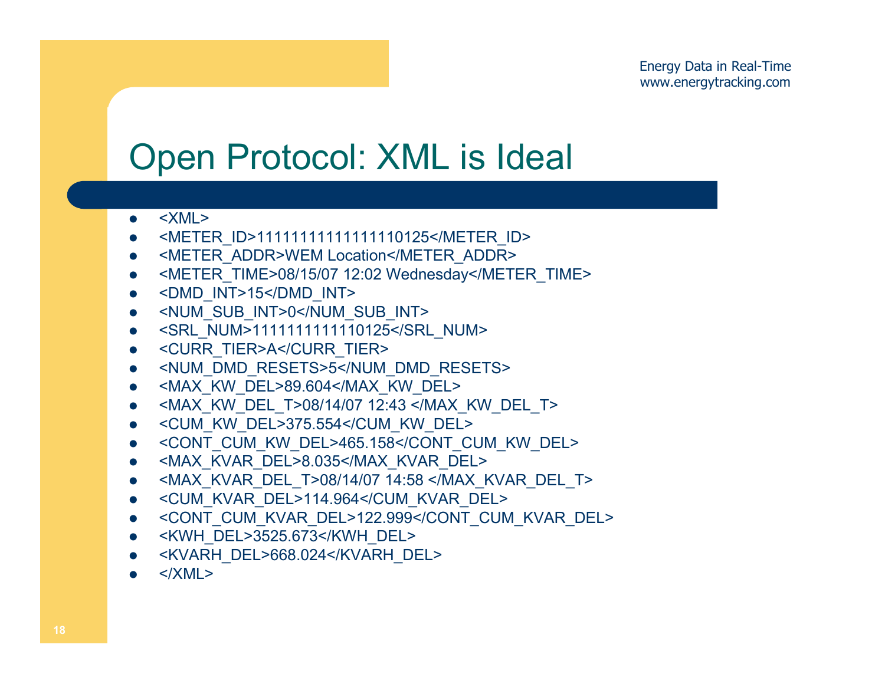## Open Protocol: XML is Ideal

- $\bullet$ <XML>
- $\bullet$ <METER\_ID>11111111111111110125</METER\_ID>
- $\bullet$ <METER\_ADDR>WEM Location</METER\_ADDR>
- $\bullet$ <METER\_TIME>08/15/07 12:02 Wednesday</METER\_TIME>
- $\bullet$ <DMD\_INT>15</DMD\_INT>
- $\bullet$ <NUM\_SUB\_INT>0</NUM\_SUB\_INT>
- $\bullet$ <SRL\_NUM>1111111111110125</SRL\_NUM>
- $\bullet$ <CURR\_TIER>A</CURR\_TIER>
- $\bullet$ <NUM\_DMD\_RESETS>5</NUM\_DMD\_RESETS>
- $\bullet$ <MAX\_KW\_DEL>89.604</MAX\_KW\_DEL>
- $\bullet$ <MAX\_KW\_DEL\_T>08/14/07 12:43 </MAX\_KW\_DEL\_T>
- $\bullet$ <CUM\_KW\_DEL>375.554</CUM\_KW\_DEL>
- $\bullet$ <CONT\_CUM\_KW\_DEL>465.158</CONT\_CUM\_KW\_DEL>
- $\bullet$ <MAX\_KVAR\_DEL>8.035</MAX\_KVAR\_DEL>
- $\bullet$ <MAX\_KVAR\_DEL\_T>08/14/07 14:58 </MAX\_KVAR\_DEL\_T>
- $\bullet$ <CUM\_KVAR\_DEL>114.964</CUM\_KVAR\_DEL>
- $\bullet$ <CONT\_CUM\_KVAR\_DEL>122.999</CONT\_CUM\_KVAR\_DEL>
- $\bullet$ <KWH\_DEL>3525.673</KWH\_DEL>
- $\bullet$ <KVARH\_DEL>668.024</KVARH\_DEL>
- $\bullet$  $<$ /XMI  $>$